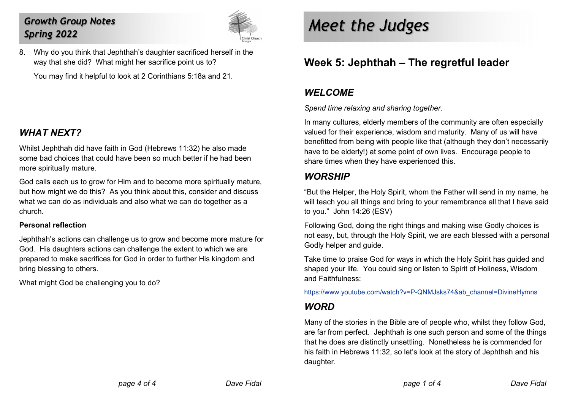# Growth Group Notes Spring 2022



8. Why do you think that Jephthah's daughter sacrificed herself in the way that she did? What might her sacrifice point us to?

You may find it helpful to look at 2 Corinthians 5:18a and 21.

## WHAT NFXT?

Whilst Jephthah did have faith in God (Hebrews 11:32) he also made some bad choices that could have been so much better if he had been more spiritually mature.

God calls each us to grow for Him and to become more spiritually mature, but how might we do this? As you think about this, consider and discuss what we can do as individuals and also what we can do together as a church.

#### Personal reflection

Jephthah's actions can challenge us to grow and become more mature for God. His daughters actions can challenge the extent to which we are prepared to make sacrifices for God in order to further His kingdom and bring blessing to others.

What might God be challenging you to do?

# Meet the Judges

# Week 5: Jephthah – The regretful leader

## WEI COME

Spend time relaxing and sharing together.

In many cultures, elderly members of the community are often especially valued for their experience, wisdom and maturity. Many of us will have benefitted from being with people like that (although they don't necessarily have to be elderly!) at some point of own lives. Encourage people to share times when they have experienced this.

### **WORSHIP**

"But the Helper, the Holy Spirit, whom the Father will send in my name, he will teach you all things and bring to your remembrance all that I have said to you." John 14:26 (ESV)

Following God, doing the right things and making wise Godly choices is not easy, but, through the Holy Spirit, we are each blessed with a personal Godly helper and guide.

Take time to praise God for ways in which the Holy Spirit has guided and shaped your life. You could sing or listen to Spirit of Holiness, Wisdom and Faithfulness:

https://www.youtube.com/watch?v=P-QNMJsks74&ab\_channel=DivineHymns

### **WORD**

Many of the stories in the Bible are of people who, whilst they follow God, are far from perfect. Jephthah is one such person and some of the things that he does are distinctly unsettling. Nonetheless he is commended for his faith in Hebrews 11:32, so let's look at the story of Jephthah and his daughter.